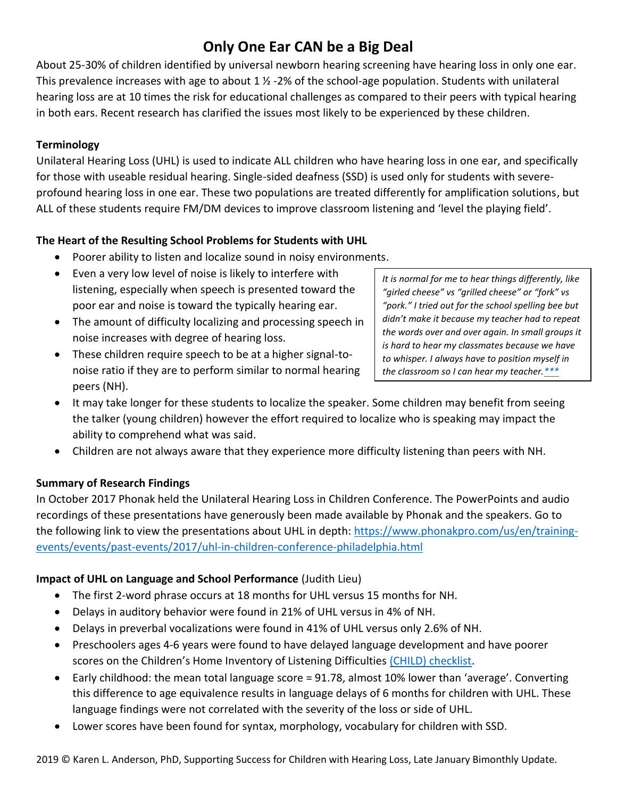# **Only One Ear CAN be a Big Deal**

About 25-30% of children identified by universal newborn hearing screening have hearing loss in only one ear. This prevalence increases with age to about  $1 \frac{1}{2}$  -2% of the school-age population. Students with unilateral hearing loss are at 10 times the risk for educational challenges as compared to their peers with typical hearing in both ears. Recent research has clarified the issues most likely to be experienced by these children.

#### **Terminology**

Unilateral Hearing Loss (UHL) is used to indicate ALL children who have hearing loss in one ear, and specifically for those with useable residual hearing. Single-sided deafness (SSD) is used only for students with severeprofound hearing loss in one ear. These two populations are treated differently for amplification solutions, but ALL of these students require FM/DM devices to improve classroom listening and 'level the playing field'.

## **The Heart of the Resulting School Problems for Students with UHL**

- Poorer ability to listen and localize sound in noisy environments.
- Even a very low level of noise is likely to interfere with listening, especially when speech is presented toward the poor ear and noise is toward the typically hearing ear.
- The amount of difficulty localizing and processing speech in noise increases with degree of hearing loss.
- These children require speech to be at a higher signal-tonoise ratio if they are to perform similar to normal hearing peers (NH).

*It is normal for me to hear things differently, like "girled cheese" vs "grilled cheese" or "fork" vs "pork." I tried out for the school spelling bee but didn't make it because my teacher had to repeat the words over and over again. In small groups it is hard to hear my classmates because we have to whisper. I always have to position myself in the classroom so I can hear my teacher[.\\*\\*\\*](https://successforkidswithhearingloss.com/for-professionals/cochlear-implants/)*

- It may take longer for these students to localize the speaker. Some children may benefit from seeing the talker (young children) however the effort required to localize who is speaking may impact the ability to comprehend what was said.
- Children are not always aware that they experience more difficulty listening than peers with NH.

#### **Summary of Research Findings**

In October 2017 Phonak held the Unilateral Hearing Loss in Children Conference. The PowerPoints and audio recordings of these presentations have generously been made available by Phonak and the speakers. Go to the following link to view the presentations about UHL in depth: [https://www.phonakpro.com/us/en/training](https://www.phonakpro.com/us/en/training-events/events/past-events/2017/uhl-in-children-conference-philadelphia.html)[events/events/past-events/2017/uhl-in-children-conference-philadelphia.html](https://www.phonakpro.com/us/en/training-events/events/past-events/2017/uhl-in-children-conference-philadelphia.html)

## **Impact of UHL on Language and School Performance** (Judith Lieu)

- The first 2-word phrase occurs at 18 months for UHL versus 15 months for NH.
- Delays in auditory behavior were found in 21% of UHL versus in 4% of NH.
- Delays in preverbal vocalizations were found in 41% of UHL versus only 2.6% of NH.
- Preschoolers ages 4-6 years were found to have delayed language development and have poorer scores on the Children's Home Inventory of Listening Difficulties (CHILD) [checklist.](https://successforkidswithhearingloss.com/wp-content/uploads/2011/08/CHILD_pgs3-4.pdf)
- Early childhood: the mean total language score = 91.78, almost 10% lower than 'average'. Converting this difference to age equivalence results in language delays of 6 months for children with UHL. These language findings were not correlated with the severity of the loss or side of UHL.
- Lower scores have been found for syntax, morphology, vocabulary for children with SSD.

2019 © Karen L. Anderson, PhD, Supporting Success for Children with Hearing Loss, Late January Bimonthly Update.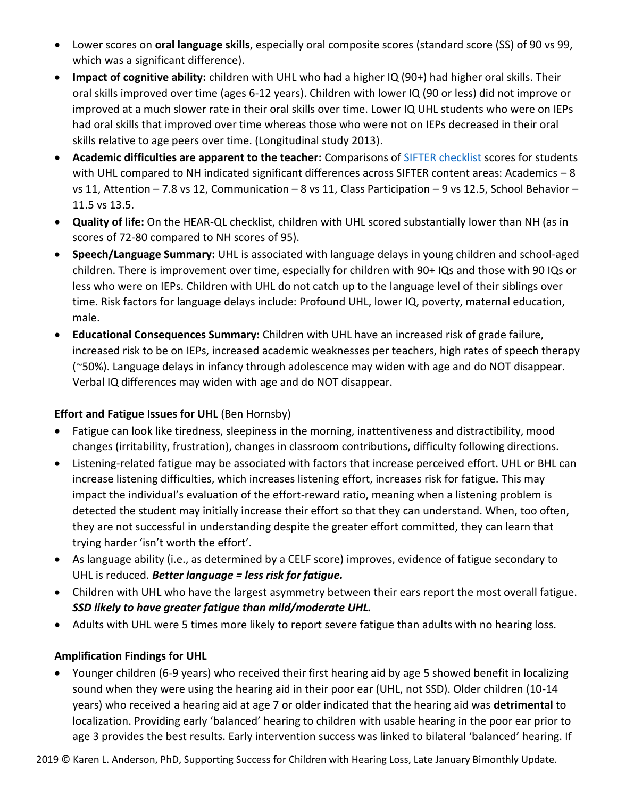- Lower scores on **oral language skills**, especially oral composite scores (standard score (SS) of 90 vs 99, which was a significant difference).
- **Impact of cognitive ability:** children with UHL who had a higher IQ (90+) had higher oral skills. Their oral skills improved over time (ages 6-12 years). Children with lower IQ (90 or less) did not improve or improved at a much slower rate in their oral skills over time. Lower IQ UHL students who were on IEPs had oral skills that improved over time whereas those who were not on IEPs decreased in their oral skills relative to age peers over time. (Longitudinal study 2013).
- **Academic difficulties are apparent to the teacher:** Comparisons o[f SIFTER checklist](https://successforkidswithhearingloss.com/wp-content/uploads/2017/09/SIFTER.pdf) scores for students with UHL compared to NH indicated significant differences across SIFTER content areas: Academics - 8 vs 11, Attention – 7.8 vs 12, Communication – 8 vs 11, Class Participation – 9 vs 12.5, School Behavior – 11.5 vs 13.5.
- **Quality of life:** On the HEAR-QL checklist, children with UHL scored substantially lower than NH (as in scores of 72-80 compared to NH scores of 95).
- **Speech/Language Summary:** UHL is associated with language delays in young children and school-aged children. There is improvement over time, especially for children with 90+ IQs and those with 90 IQs or less who were on IEPs. Children with UHL do not catch up to the language level of their siblings over time. Risk factors for language delays include: Profound UHL, lower IQ, poverty, maternal education, male.
- **Educational Consequences Summary:** Children with UHL have an increased risk of grade failure, increased risk to be on IEPs, increased academic weaknesses per teachers, high rates of speech therapy (~50%). Language delays in infancy through adolescence may widen with age and do NOT disappear. Verbal IQ differences may widen with age and do NOT disappear.

## **Effort and Fatigue Issues for UHL** (Ben Hornsby)

- Fatigue can look like tiredness, sleepiness in the morning, inattentiveness and distractibility, mood changes (irritability, frustration), changes in classroom contributions, difficulty following directions.
- Listening-related fatigue may be associated with factors that increase perceived effort. UHL or BHL can increase listening difficulties, which increases listening effort, increases risk for fatigue. This may impact the individual's evaluation of the effort-reward ratio, meaning when a listening problem is detected the student may initially increase their effort so that they can understand. When, too often, they are not successful in understanding despite the greater effort committed, they can learn that trying harder 'isn't worth the effort'.
- As language ability (i.e., as determined by a CELF score) improves, evidence of fatigue secondary to UHL is reduced. *Better language = less risk for fatigue.*
- Children with UHL who have the largest asymmetry between their ears report the most overall fatigue. *SSD likely to have greater fatigue than mild/moderate UHL.*
- Adults with UHL were 5 times more likely to report severe fatigue than adults with no hearing loss.

## **Amplification Findings for UHL**

• Younger children (6-9 years) who received their first hearing aid by age 5 showed benefit in localizing sound when they were using the hearing aid in their poor ear (UHL, not SSD). Older children (10-14 years) who received a hearing aid at age 7 or older indicated that the hearing aid was **detrimental** to localization. Providing early 'balanced' hearing to children with usable hearing in the poor ear prior to age 3 provides the best results. Early intervention success was linked to bilateral 'balanced' hearing. If

2019 © Karen L. Anderson, PhD, Supporting Success for Children with Hearing Loss, Late January Bimonthly Update.